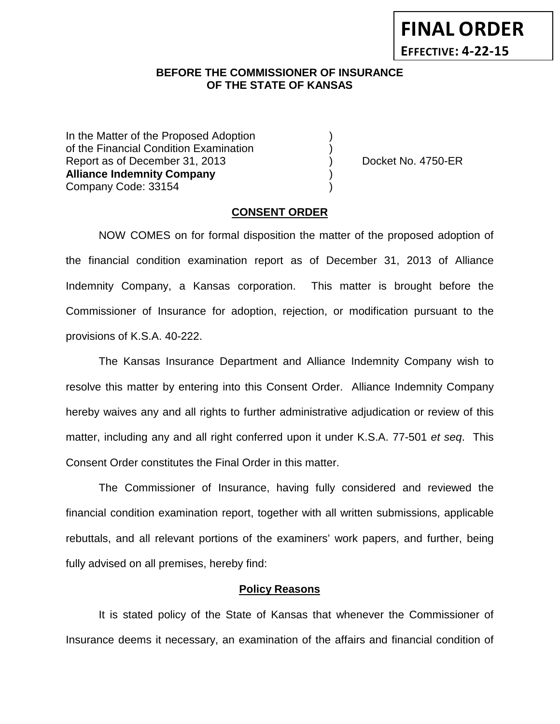**FINAL ORDER EFFECTIVE: 4-22-15**

## **BEFORE THE COMMISSIONER OF INSURANCE OF THE STATE OF KANSAS**

In the Matter of the Proposed Adoption of the Financial Condition Examination ) Report as of December 31, 2013 (and Separation Contract No. 4750-ER **Alliance Indemnity Company** ) Company Code: 33154 )

### **CONSENT ORDER**

NOW COMES on for formal disposition the matter of the proposed adoption of the financial condition examination report as of December 31, 2013 of Alliance Indemnity Company, a Kansas corporation. This matter is brought before the Commissioner of Insurance for adoption, rejection, or modification pursuant to the provisions of K.S.A. 40-222.

The Kansas Insurance Department and Alliance Indemnity Company wish to resolve this matter by entering into this Consent Order. Alliance Indemnity Company hereby waives any and all rights to further administrative adjudication or review of this matter, including any and all right conferred upon it under K.S.A. 77-501 *et seq*. This Consent Order constitutes the Final Order in this matter.

The Commissioner of Insurance, having fully considered and reviewed the financial condition examination report, together with all written submissions, applicable rebuttals, and all relevant portions of the examiners' work papers, and further, being fully advised on all premises, hereby find:

### **Policy Reasons**

It is stated policy of the State of Kansas that whenever the Commissioner of Insurance deems it necessary, an examination of the affairs and financial condition of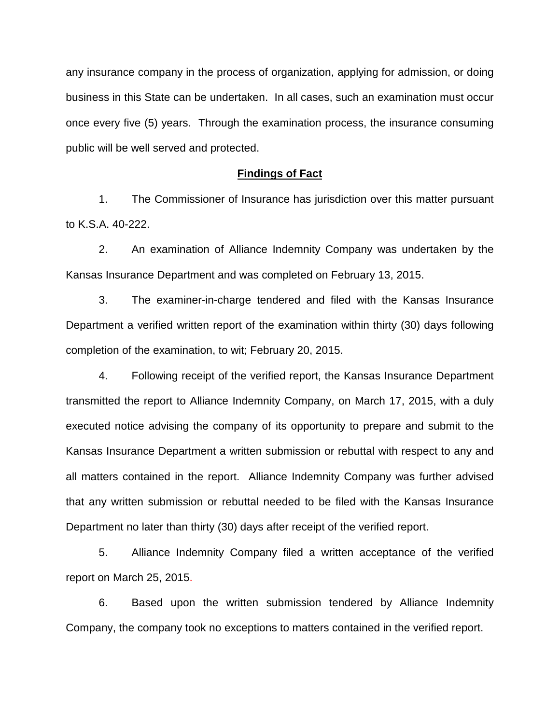any insurance company in the process of organization, applying for admission, or doing business in this State can be undertaken. In all cases, such an examination must occur once every five (5) years. Through the examination process, the insurance consuming public will be well served and protected.

#### **Findings of Fact**

1. The Commissioner of Insurance has jurisdiction over this matter pursuant to K.S.A. 40-222.

2. An examination of Alliance Indemnity Company was undertaken by the Kansas Insurance Department and was completed on February 13, 2015.

3. The examiner-in-charge tendered and filed with the Kansas Insurance Department a verified written report of the examination within thirty (30) days following completion of the examination, to wit; February 20, 2015.

4. Following receipt of the verified report, the Kansas Insurance Department transmitted the report to Alliance Indemnity Company, on March 17, 2015, with a duly executed notice advising the company of its opportunity to prepare and submit to the Kansas Insurance Department a written submission or rebuttal with respect to any and all matters contained in the report. Alliance Indemnity Company was further advised that any written submission or rebuttal needed to be filed with the Kansas Insurance Department no later than thirty (30) days after receipt of the verified report.

5. Alliance Indemnity Company filed a written acceptance of the verified report on March 25, 2015.

6. Based upon the written submission tendered by Alliance Indemnity Company, the company took no exceptions to matters contained in the verified report.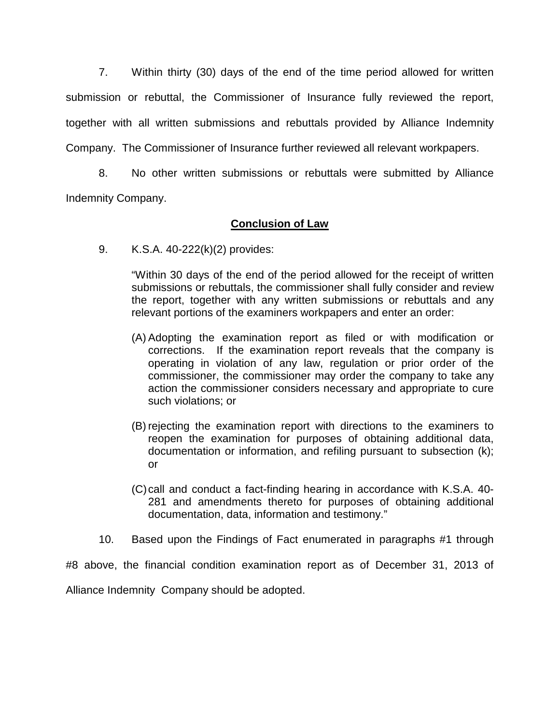7. Within thirty (30) days of the end of the time period allowed for written submission or rebuttal, the Commissioner of Insurance fully reviewed the report, together with all written submissions and rebuttals provided by Alliance Indemnity Company. The Commissioner of Insurance further reviewed all relevant workpapers.

8. No other written submissions or rebuttals were submitted by Alliance Indemnity Company.

# **Conclusion of Law**

9. K.S.A. 40-222(k)(2) provides:

"Within 30 days of the end of the period allowed for the receipt of written submissions or rebuttals, the commissioner shall fully consider and review the report, together with any written submissions or rebuttals and any relevant portions of the examiners workpapers and enter an order:

- (A) Adopting the examination report as filed or with modification or corrections. If the examination report reveals that the company is operating in violation of any law, regulation or prior order of the commissioner, the commissioner may order the company to take any action the commissioner considers necessary and appropriate to cure such violations; or
- (B) rejecting the examination report with directions to the examiners to reopen the examination for purposes of obtaining additional data, documentation or information, and refiling pursuant to subsection (k); or
- (C)call and conduct a fact-finding hearing in accordance with K.S.A. 40- 281 and amendments thereto for purposes of obtaining additional documentation, data, information and testimony."
- 10. Based upon the Findings of Fact enumerated in paragraphs #1 through

#8 above, the financial condition examination report as of December 31, 2013 of Alliance Indemnity Company should be adopted.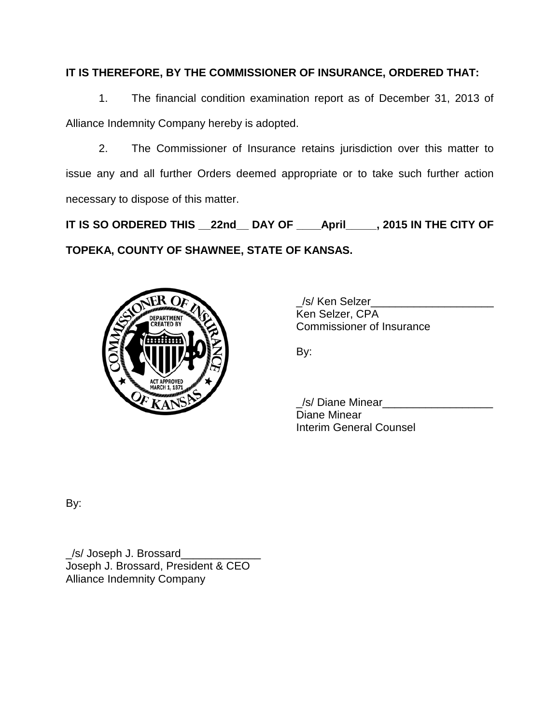# **IT IS THEREFORE, BY THE COMMISSIONER OF INSURANCE, ORDERED THAT:**

1. The financial condition examination report as of December 31, 2013 of Alliance Indemnity Company hereby is adopted.

2. The Commissioner of Insurance retains jurisdiction over this matter to issue any and all further Orders deemed appropriate or to take such further action necessary to dispose of this matter.

**IT IS SO ORDERED THIS \_\_22nd\_\_ DAY OF \_\_\_\_April\_\_\_\_\_, 2015 IN THE CITY OF TOPEKA, COUNTY OF SHAWNEE, STATE OF KANSAS.**



\_/s/ Ken Selzer\_\_\_\_\_\_\_\_\_\_\_\_\_\_\_\_\_\_\_\_ Ken Selzer, CPA Commissioner of Insurance

By:

\_/s/ Diane Minear\_\_\_\_\_\_\_\_\_\_\_\_\_\_\_\_\_\_ Diane Minear Interim General Counsel

By:

\_/s/ Joseph J. Brossard\_\_\_\_\_\_\_\_\_\_\_\_\_ Joseph J. Brossard, President & CEO Alliance Indemnity Company